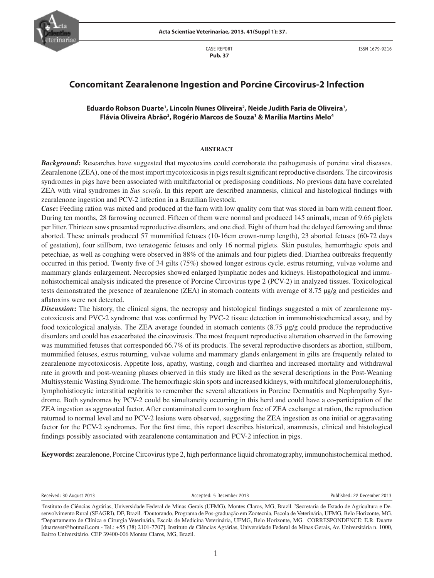

 CASE REPORT  **Pub. 37**

ISSN 1679-9216

# **Concomitant Zearalenone Ingestion and Porcine Circovirus-2 Infection**

# **Eduardo Robson Duarte1 , Lincoln Nunes Oliveira2 , Neide Judith Faria de Oliveira1 , Flávia Oliveira Abrão3 , Rogério Marcos de Souza1 & Marília Martins Melo4**

#### **ABSTRACT**

*Background*: Researches have suggested that mycotoxins could corroborate the pathogenesis of porcine viral diseases. Zearalenone (ZEA), one of the most import mycotoxicosis in pigs result significant reproductive disorders. The circovirosis syndromes in pigs have been associated with multifactorial or predisposing conditions. No previous data have correlated ZEA with viral syndromes in *Sus scrofa*. In this report are described anamnesis, clinical and histological findings with zearalenone ingestion and PCV-2 infection in a Brazilian livestock.

*Case*: Feeding ration was mixed and produced at the farm with low quality corn that was stored in barn with cement floor. During ten months, 28 farrowing occurred. Fifteen of them were normal and produced 145 animals, mean of 9.66 piglets per litter. Thirteen sows presented reproductive disorders, and one died. Eight of them had the delayed farrowing and three aborted. These animals produced 57 mummified fetuses (10-16cm crown-rump length), 23 aborted fetuses (60-72 days of gestation), four stillborn, two teratogenic fetuses and only 16 normal piglets. Skin pustules, hemorrhagic spots and petechiae, as well as coughing were observed in 88% of the animals and four piglets died. Diarrhea outbreaks frequently occurred in this period. Twenty five of 34 gilts (75%) showed longer estrous cycle, estrus returning, vulvae volume and mammary glands enlargement. Necropsies showed enlarged lymphatic nodes and kidneys. Histopathological and immunohistochemical analysis indicated the presence of Porcine Circovirus type 2 (PCV-2) in analyzed tissues. Toxicological tests demonstrated the presence of zearalenone (ZEA) in stomach contents with average of 8.75 µg/g and pesticides and aflatoxins were not detected.

*Discussion***:** The history, the clinical signs, the necropsy and histological findings suggested a mix of zearalenone mycotoxicosis and PVC-2 syndrome that was confirmed by PVC-2 tissue detection in immunohistochemical assay, and by food toxicological analysis. The ZEA average founded in stomach contents (8.75 µg/g could produce the reproductive disorders and could has exacerbated the circovirosis. The most frequent reproductive alteration observed in the farrowing was mummified fetuses that corresponded 66.7% of its products. The several reproductive disorders as abortion, stillborn, mummified fetuses, estrus returning, vulvae volume and mammary glands enlargement in gilts are frequently related to zearalenone mycotoxicosis. Appetite loss, apathy, wasting, cough and diarrhea and increased mortality and withdrawal rate in growth and post-weaning phases observed in this study are liked as the several descriptions in the Post-Weaning Multisystemic Wasting Syndrome. The hemorrhagic skin spots and increased kidneys, with multifocal glomerulonephritis, lymphohistiocytic interstitial nephritis to remember the several alterations in Porcine Dermatitis and Nephropathy Syndrome. Both syndromes by PCV-2 could be simultaneity occurring in this herd and could have a co-participation of the ZEA ingestion as aggravated factor. After contaminated corn to sorghum free of ZEA exchange at ration, the reproduction returned to normal level and no PCV-2 lesions were observed, suggesting the ZEA ingestion as one initial or aggravating factor for the PCV-2 syndromes. For the first time, this report describes historical, anamnesis, clinical and histological findings possibly associated with zearalenone contamination and PCV-2 infection in pigs.

**Keywords:** zearalenone, Porcine Circovirus type 2, high performance liquid chromatography, immunohistochemical method.

Received: 30 August 2013 **Accepted: 2014** Accepted: 5 December 2013 **Accepted: 20 Published: 22 December 2013** 

<sup>&</sup>lt;sup>1</sup>Instituto de Ciências Agrárias, Universidade Federal de Minas Gerais (UFMG), Montes Claros, MG, Brazil. <sup>2</sup>Secretaria de Estado de Agricultura e Desenvolvimento Rural (SEAGRI), DF, Brazil. <sup>3</sup>Doutorando, Programa de Pos-graduação em Zootecnia, Escola de Veterinária, UFMG, Belo Horizonte, MG.<br><sup>4</sup>Departamento de Clínica e Cirurgia Veterinária. Escola de Medicina Veteri Departamento de Clínica e Cirurgia Veterinária, Escola de Medicina Veterinária, UFMG, Belo Horizonte, MG. CORRESPONDENCE: E.R. Duarte [duartevet@hotmail.com - Tel.: +55 (38) 2101-7707]. Instituto de Ciências Agrárias, Universidade Federal de Minas Gerais, Av. Universitária n. 1000, Bairro Universitário. CEP 39400-006 Montes Claros, MG, Brazil.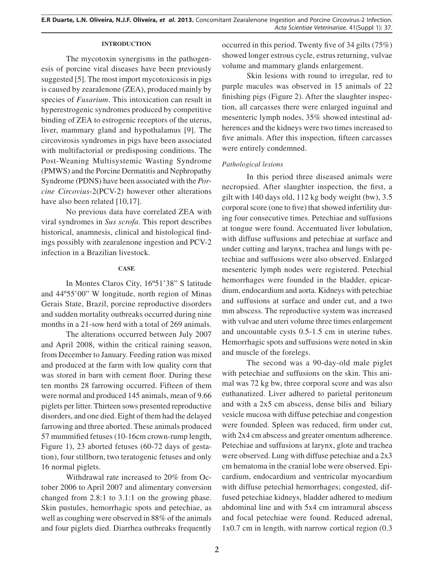#### **INTRODUCTION**

The mycotoxin synergisms in the pathogenesis of porcine viral diseases have been previously suggested [5]. The most import mycotoxicosis in pigs is caused by zearalenone (ZEA), produced mainly by species of *Fusarium*. This intoxication can result in hyperestrogenic syndromes produced by competitive binding of ZEA to estrogenic receptors of the uterus, liver, mammary gland and hypothalamus [9]. The circovirosis syndromes in pigs have been associated with multifactorial or predisposing conditions. The Post-Weaning Multisystemic Wasting Syndrome (PMWS) and the Porcine Dermatitis and Nephropathy Syndrome (PDNS) have been associated with the *Porcine Circovius*-2(PCV-2) however other alterations have also been related [10,17].

No previous data have correlated ZEA with viral syndromes in *Sus scrofa*. This report describes historical, anamnesis, clinical and histological findings possibly with zearalenone ingestion and PCV-2 infection in a Brazilian livestock.

### **CASE**

In Montes Claros City, 16º51'38" S latitude and 44º55'00" W longitude, north region of Minas Gerais State, Brazil, porcine reproductive disorders and sudden mortality outbreaks occurred during nine months in a 21-sow herd with a total of 269 animals.

The alterations occurred between July 2007 and April 2008, within the critical raining season, from December to January. Feeding ration was mixed and produced at the farm with low quality corn that was stored in barn with cement floor. During these ten months 28 farrowing occurred. Fifteen of them were normal and produced 145 animals, mean of 9.66 piglets per litter. Thirteen sows presented reproductive disorders, and one died. Eight of them had the delayed farrowing and three aborted. These animals produced 57 mummified fetuses (10-16cm crown-rump length, Figure 1), 23 aborted fetuses (60-72 days of gestation), four stillborn, two teratogenic fetuses and only 16 normal piglets.

Withdrawal rate increased to 20% from October 2006 to April 2007 and alimentary conversion changed from 2.8:1 to 3.1:1 on the growing phase. Skin pustules, hemorrhagic spots and petechiae, as well as coughing were observed in 88% of the animals and four piglets died. Diarrhea outbreaks frequently occurred in this period. Twenty five of 34 gilts  $(75%)$ showed longer estrous cycle, estrus returning, vulvae volume and mammary glands enlargement.

Skin lesions with round to irregular, red to purple macules was observed in 15 animals of 22 finishing pigs (Figure 2). After the slaughter inspection, all carcasses there were enlarged inguinal and mesenteric lymph nodes, 35% showed intestinal adherences and the kidneys were two times increased to five animals. After this inspection, fifteen carcasses were entirely condemned.

# *Pathological lesions*

In this period three diseased animals were necropsied. After slaughter inspection, the first, a gilt with 140 days old, 112 kg body weight (bw), 3.5 corporal score (one to five) that showed infertility during four consecutive times. Petechiae and suffusions at tongue were found. Accentuated liver lobulation, with diffuse suffusions and petechiae at surface and under cutting and larynx, trachea and lungs with petechiae and suffusions were also observed. Enlarged mesenteric lymph nodes were registered. Petechial hemorrhages were founded in the bladder, epicardium, endocardium and aorta. Kidneys with petechiae and suffusions at surface and under cut, and a two mm abscess. The reproductive system was increased with vulvae and uteri volume three times enlargement and uncountable cysts 0.5-1.5 cm in uterine tubes. Hemorrhagic spots and suffusions were noted in skin and muscle of the forelegs.

The second was a 90-day-old male piglet with petechiae and suffusions on the skin. This animal was 72 kg bw, three corporal score and was also euthanatized. Liver adhered to parietal peritoneum and with a 2x5 cm abscess, dense bilis and biliary vesicle mucosa with diffuse petechiae and congestion were founded. Spleen was reduced, firm under cut, with 2x4 cm abscess and greater omentum adherence. Petechiae and suffusions at larynx, glote and trachea were observed. Lung with diffuse petechiae and a 2x3 cm hematoma in the cranial lobe were observed. Epicardium, endocardium and ventricular myocardium with diffuse petechial hemorrhages; congested, diffused petechiae kidneys, bladder adhered to medium abdominal line and with 5x4 cm intramural abscess and focal petechiae were found. Reduced adrenal, 1x0.7 cm in length, with narrow cortical region (0.3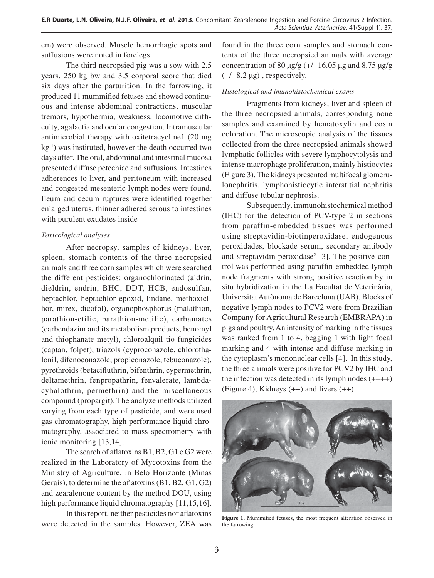cm) were observed. Muscle hemorrhagic spots and suffusions were noted in forelegs.

The third necropsied pig was a sow with 2.5 years, 250 kg bw and 3.5 corporal score that died six days after the parturition. In the farrowing, it produced 11 mummified fetuses and showed continuous and intense abdominal contractions, muscular tremors, hypothermia, weakness, locomotive difficulty, agalactia and ocular congestion. Intramuscular antimicrobial therapy with oxitetracycline1 (20 mg kg-1) was instituted, however the death occurred two days after. The oral, abdominal and intestinal mucosa presented diffuse petechiae and suffusions. Intestines adherences to liver, and peritoneum with increased and congested mesenteric lymph nodes were found. Ileum and cecum ruptures were identified together enlarged uterus, thinner adhered serous to intestines with purulent exudates inside

## *Toxicological analyses*

After necropsy, samples of kidneys, liver, spleen, stomach contents of the three necropsied animals and three corn samples which were searched the different pesticides: organochlorinated (aldrin, dieldrin, endrin, BHC, DDT, HCB, endosulfan, heptachlor, heptachlor epoxid, lindane, methoxiclhor, mirex, dicofol), organophosphorus (malathion, parathion-etilic, parathion-metilic), carbamates (carbendazim and its metabolism products, benomyl and thiophanate metyl), chloroalquil tio fungicides (captan, folpet), triazols (cyproconazole, chlorothalonil, difenoconazole, propiconazole, tebuconazole), pyrethroids (betacifluthrin, bifenthrin, cypermethrin, deltamethrin, fenpropathrin, fenvalerate, lambdacyhalothrin, permethrin) and the miscellaneous compound (propargit). The analyze methods utilized varying from each type of pesticide, and were used gas chromatography, high performance liquid chromatography, associated to mass spectrometry with ionic monitoring [13,14].

The search of aflatoxins  $B1, B2, G1$  e G2 were realized in the Laboratory of Mycotoxins from the Ministry of Agriculture, in Belo Horizonte (Minas Gerais), to determine the aflatoxins  $(B1, B2, G1, G2)$ and zearalenone content by the method DOU, using high performance liquid chromatography [11,15,16].

In this report, neither pesticides nor aflatoxins were detected in the samples. However, ZEA was

found in the three corn samples and stomach contents of the three necropsied animals with average concentration of 80  $\mu$ g/g (+/- 16.05  $\mu$ g and 8.75  $\mu$ g/g  $(+/- 8.2 \mu g)$ , respectively.

# *Histological and imunohistochemical exams*

Fragments from kidneys, liver and spleen of the three necropsied animals, corresponding none samples and examined by hematoxylin and eosin coloration. The microscopic analysis of the tissues collected from the three necropsied animals showed lymphatic follicles with severe lymphocytolysis and intense macrophage proliferation, mainly histiocytes (Figure 3). The kidneys presented multifocal glomerulonephritis, lymphohistiocytic interstitial nephritis and diffuse tubular nephrosis.

Subsequently, immunohistochemical method (IHC) for the detection of PCV-type 2 in sections from paraffin-embedded tissues was performed using streptavidin-biotinperoxidase, endogenous peroxidades, blockade serum, secondary antibody and streptavidin-peroxidase<sup>2</sup> [3]. The positive control was performed using paraffin-embedded lymph node fragments with strong positive reaction by in situ hybridization in the La Facultat de Veterinària, Universitat Autònoma de Barcelona (UAB). Blocks of negative lymph nodes to PCV2 were from Brazilian Company for Agricultural Research (EMBRAPA) in pigs and poultry. An intensity of marking in the tissues was ranked from 1 to 4, begging 1 with light focal marking and 4 with intense and diffuse marking in the cytoplasm's mononuclear cells [4]. In this study, the three animals were positive for PCV2 by IHC and the infection was detected in its lymph nodes  $(+++)$ (Figure 4), Kidneys (++) and livers (++).



Figure 1. Mummified fetuses, the most frequent alteration observed in the farrowing.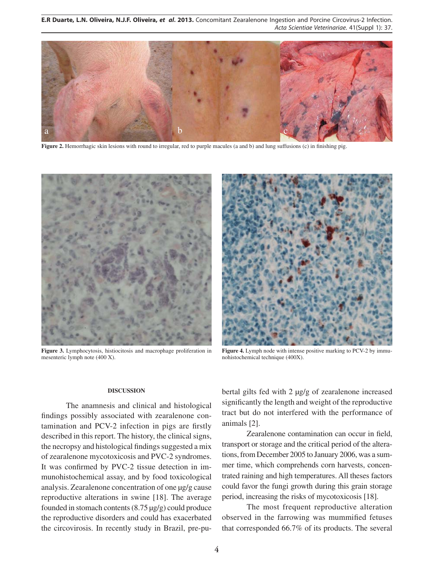**E.R Duarte, L.N. Oliveira, N.J.F. Oliveira,** *et al***. 2013.** Concomitant Zearalenone Ingestion and Porcine Circovirus-2 Infection. Acta Scientiae Veterinariae. 41(Suppl 1): 37.



**Figure 2.** Hemorrhagic skin lesions with round to irregular, red to purple macules (a and b) and lung suffusions (c) in finishing pig.



**Figure 3.** Lymphocytosis, histiocitosis and macrophage proliferation in mesenteric lymph note (400 X).



**Figure 4.** Lymph node with intense positive marking to PCV-2 by immunohistochemical technique (400X).

#### **DISCUSSION**

The anamnesis and clinical and histological findings possibly associated with zearalenone contamination and PCV-2 infection in pigs are firstly described in this report. The history, the clinical signs, the necropsy and histological findings suggested a mix of zearalenone mycotoxicosis and PVC-2 syndromes. It was confirmed by PVC-2 tissue detection in immunohistochemical assay, and by food toxicological analysis. Zearalenone concentration of one µg/g cause reproductive alterations in swine [18]. The average founded in stomach contents (8.75 µg/g) could produce the reproductive disorders and could has exacerbated the circovirosis. In recently study in Brazil, pre-pubertal gilts fed with 2 µg/g of zearalenone increased significantly the length and weight of the reproductive tract but do not interfered with the performance of animals [2].

Zearalenone contamination can occur in field, transport or storage and the critical period of the alterations, from December 2005 to January 2006, was a summer time, which comprehends corn harvests, concentrated raining and high temperatures. All theses factors could favor the fungi growth during this grain storage period, increasing the risks of mycotoxicosis [18].

The most frequent reproductive alteration observed in the farrowing was mummified fetuses that corresponded 66.7% of its products. The several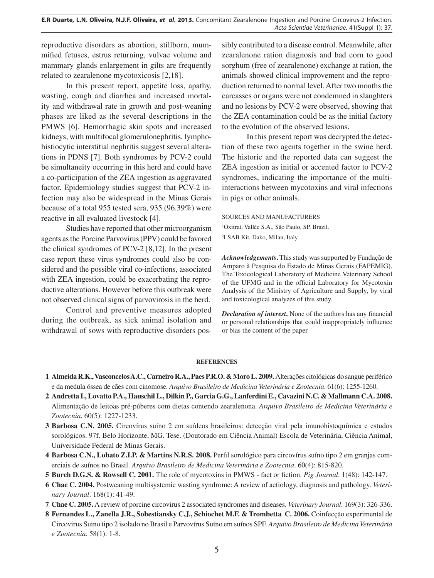**E.R Duarte, L.N. Oliveira, N.J.F. Oliveira,** *et al***. 2013.** Concomitant Zearalenone Ingestion and Porcine Circovirus-2 Infection. Acta Scientiae Veterinariae. 41(Suppl 1): 37.

reproductive disorders as abortion, stillborn, mummified fetuses, estrus returning, vulvae volume and mammary glands enlargement in gilts are frequently related to zearalenone mycotoxicosis [2,18].

In this present report, appetite loss, apathy, wasting, cough and diarrhea and increased mortality and withdrawal rate in growth and post-weaning phases are liked as the several descriptions in the PMWS [6]. Hemorrhagic skin spots and increased kidneys, with multifocal glomerulonephritis, lymphohistiocytic interstitial nephritis suggest several alterations in PDNS [7]. Both syndromes by PCV-2 could be simultaneity occurring in this herd and could have a co-participation of the ZEA ingestion as aggravated factor. Epidemiology studies suggest that PCV-2 infection may also be widespread in the Minas Gerais because of a total 955 tested sera, 935 (96.39%) were reactive in all evaluated livestock [4].

Studies have reported that other microorganism agents as the Porcine Parvovirus (PPV) could be favored the clinical syndromes of PCV-2 [8,12]. In the present case report these virus syndromes could also be considered and the possible viral co-infections, associated with ZEA ingestion, could be exacerbating the reproductive alterations. However before this outbreak were not observed clinical signs of parvovirosis in the herd.

Control and preventive measures adopted during the outbreak, as sick animal isolation and withdrawal of sows with reproductive disorders possibly contributed to a disease control. Meanwhile, after zearalenone ration diagnosis and bad corn to good sorghum (free of zearalenone) exchange at ration, the animals showed clinical improvement and the reproduction returned to normal level. After two months the carcasses or organs were not condemned in slaughters and no lesions by PCV-2 were observed, showing that the ZEA contamination could be as the initial factory to the evolution of the observed lesions.

In this present report was decrypted the detection of these two agents together in the swine herd. The historic and the reported data can suggest the ZEA ingestion as initial or accented factor to PCV-2 syndromes, indicating the importance of the multiinteractions between mycotoxins and viral infections in pigs or other animals.

SOURCES AND MANUFACTURERS

1 Oxitrat, Vallée S.A., São Paulo, SP, Brazil. 2 LSAB Kit, Dako, Milan, Italy.

*Acknowledgements***.** This study was supported by Fundação de Amparo à Pesquisa do Estado de Minas Gerais (FAPEMIG). The Toxicological Laboratory of Medicine Veterinary School of the UFMG and in the official Laboratory for Mycotoxin Analysis of the Ministry of Agriculture and Supply, by viral and toxicological analyzes of this study.

*Declaration of interest.* None of the authors has any financial or personal relationships that could inappropriately influence or bias the content of the paper

#### **REFERENCES**

- **1 Almeida R.K., Vasconcelos A.C., Carneiro R.A., Paes P.R.O. & Moro L. 2009.** Alterações citológicas do sangue periférico e da medula óssea de cães com cinomose. *Arquivo Brasileiro de Medicina Veterinária e Zootecnia*. 61(6): 1255-1260.
- **2 Andretta I., Lovatto P.A., Hauschil L., Dilkin P., Garcia G.G., Lanferdini E., Cavazini N.C. & Mallmann C.A. 2008.**  Alimentação de leitoas pré-púberes com dietas contendo zearalenona. *Arquivo Brasileiro de Medicina Veterinária e Zootecnia*. 60(5): 1227-1233.
- **3 Barbosa C.N. 2005.** Circovírus suíno 2 em suídeos brasileiros: detecção viral pela imunohistoquímica e estudos sorológicos. 97f. Belo Horizonte, MG. Tese. (Doutorado em Ciência Animal) Escola de Veterinária, Ciência Animal, Universidade Federal de Minas Gerais.
- **4 Barbosa C.N., Lobato Z.I.P. & Martins N.R.S. 2008.** Perfi l sorológico para circovírus suíno tipo 2 em granjas comerciais de suínos no Brasil. *Arquivo Brasileiro de Medicina Veterinária e Zootecnia*. 60(4): 815-820.
- **5 Burch D.G.S. & Rowsell C. 2001.** The role of mycotoxins in PMWS fact or fiction. *Pig Journal*. 1(48): 142-147.
- **6 Chae C. 2004.** Postweaning multisystemic wasting syndrome: A review of aetiology, diagnosis and pathology. *Veterinary Journal*. 168(1): 41-49.
- **7 Chae C. 2005.** A review of porcine circovirus 2 associated syndromes and diseases. *Veterinary Journal*. 169(3): 326-336.
- **8 Fernandes L., Zanella J.R., Sobestiansky C.J., Schiochet M.F. & Trombetta C. 2006.** Coinfecção experimental de Circovirus Suino tipo 2 isolado no Brasil e Parvovírus Suíno em suínos SPF. *Arquivo Brasileiro de Medicina Veterinária e Zootecnia*. 58(1): 1-8.